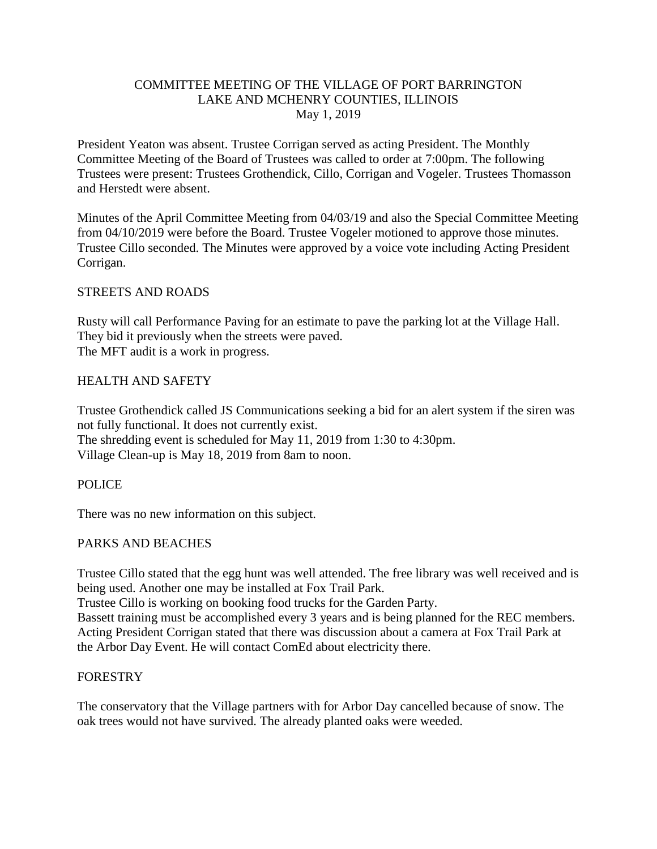### COMMITTEE MEETING OF THE VILLAGE OF PORT BARRINGTON LAKE AND MCHENRY COUNTIES, ILLINOIS May 1, 2019

President Yeaton was absent. Trustee Corrigan served as acting President. The Monthly Committee Meeting of the Board of Trustees was called to order at 7:00pm. The following Trustees were present: Trustees Grothendick, Cillo, Corrigan and Vogeler. Trustees Thomasson and Herstedt were absent.

Minutes of the April Committee Meeting from 04/03/19 and also the Special Committee Meeting from 04/10/2019 were before the Board. Trustee Vogeler motioned to approve those minutes. Trustee Cillo seconded. The Minutes were approved by a voice vote including Acting President Corrigan.

### STREETS AND ROADS

Rusty will call Performance Paving for an estimate to pave the parking lot at the Village Hall. They bid it previously when the streets were paved. The MFT audit is a work in progress.

### HEALTH AND SAFETY

Trustee Grothendick called JS Communications seeking a bid for an alert system if the siren was not fully functional. It does not currently exist. The shredding event is scheduled for May 11, 2019 from 1:30 to 4:30pm. Village Clean-up is May 18, 2019 from 8am to noon.

### POLICE

There was no new information on this subject.

# PARKS AND BEACHES

Trustee Cillo stated that the egg hunt was well attended. The free library was well received and is being used. Another one may be installed at Fox Trail Park.

Trustee Cillo is working on booking food trucks for the Garden Party.

Bassett training must be accomplished every 3 years and is being planned for the REC members. Acting President Corrigan stated that there was discussion about a camera at Fox Trail Park at the Arbor Day Event. He will contact ComEd about electricity there.

### FORESTRY

The conservatory that the Village partners with for Arbor Day cancelled because of snow. The oak trees would not have survived. The already planted oaks were weeded.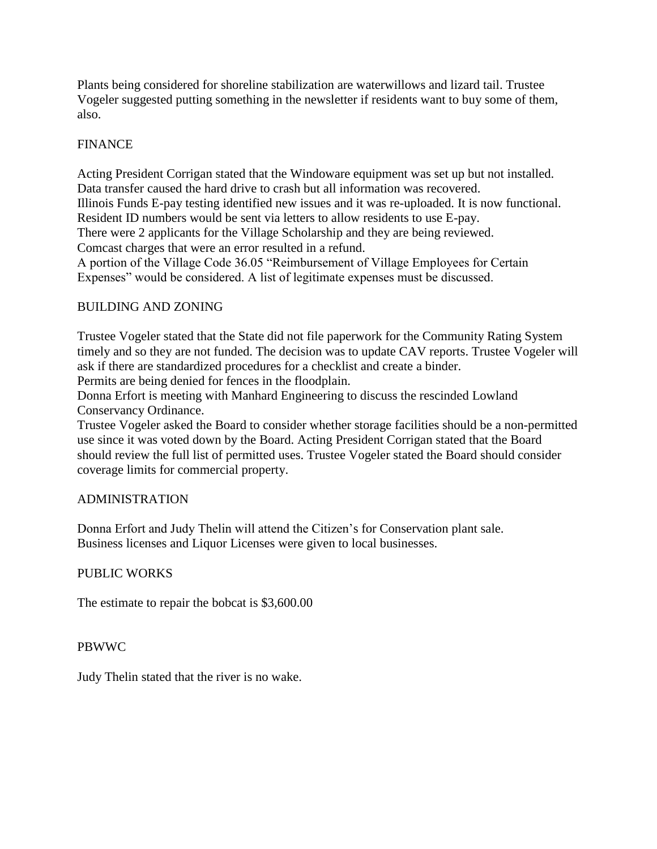Plants being considered for shoreline stabilization are waterwillows and lizard tail. Trustee Vogeler suggested putting something in the newsletter if residents want to buy some of them, also.

# FINANCE

Acting President Corrigan stated that the Windoware equipment was set up but not installed. Data transfer caused the hard drive to crash but all information was recovered. Illinois Funds E-pay testing identified new issues and it was re-uploaded. It is now functional. Resident ID numbers would be sent via letters to allow residents to use E-pay. There were 2 applicants for the Village Scholarship and they are being reviewed. Comcast charges that were an error resulted in a refund.

A portion of the Village Code 36.05 "Reimbursement of Village Employees for Certain Expenses" would be considered. A list of legitimate expenses must be discussed.

### BUILDING AND ZONING

Trustee Vogeler stated that the State did not file paperwork for the Community Rating System timely and so they are not funded. The decision was to update CAV reports. Trustee Vogeler will ask if there are standardized procedures for a checklist and create a binder.

Permits are being denied for fences in the floodplain.

Donna Erfort is meeting with Manhard Engineering to discuss the rescinded Lowland Conservancy Ordinance.

Trustee Vogeler asked the Board to consider whether storage facilities should be a non-permitted use since it was voted down by the Board. Acting President Corrigan stated that the Board should review the full list of permitted uses. Trustee Vogeler stated the Board should consider coverage limits for commercial property.

### ADMINISTRATION

Donna Erfort and Judy Thelin will attend the Citizen's for Conservation plant sale. Business licenses and Liquor Licenses were given to local businesses.

### PUBLIC WORKS

The estimate to repair the bobcat is \$3,600.00

### PBWWC

Judy Thelin stated that the river is no wake.